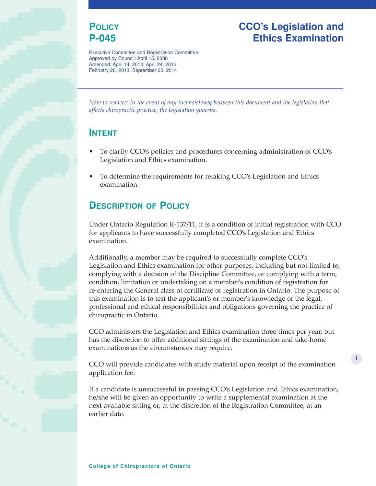## **POLICY P-045**

Executive Committee and Registration Committee Approved by Council: April 15, 2000 Amended: April 14, 2010, April 24, 2012,

## **CCO's Legislation and Ethics Examination**

**1**

*Note to readers: In the event of any inconsistency between this document and the legislation that affects chiropractic practice, the legislation governs.*

#### **INTENT**

- To clarify CCO's policies and procedures concerning administration of CCO's Legislation and Ethics examination.
- To determine the requirements for retaking CCO's Legislation and Ethics examination.

## **DESCRIPTION OF POLICY**

February 26, 2013, September 20, 2014

Under Ontario Regulation R-137/11, it is a condition of initial registration with CCO for applicants to have successfully completed CCO's Legislation and Ethics examination.

Additionally, a member may be required to successfully complete CCO's Legislation and Ethics examination for other purposes, including but not limited to, complying with a decision of the Discipline Committee, or complying with a term, condition, limitation or undertaking on a member's condition of registration for re-entering the General class of certificate of registration in Ontario. The purpose of this examination is to test the applicant's or member's knowledge of the legal, professional and ethical responsibilities and obligations governing the practice of chiropractic in Ontario.

CCO administers the Legislation and Ethics examination three times per year, but has the discretion to offer additional sittings of the examination and take-home examinations as the circumstances may require.

CCO will provide candidates with study material upon receipt of the examination application fee.

If a candidate is unsuccessful in passing CCO's Legislation and Ethics examination, he/she will be given an opportunity to write a supplemental examination at the next available sitting or, at the discretion of the Registration Committee, at an earlier date.